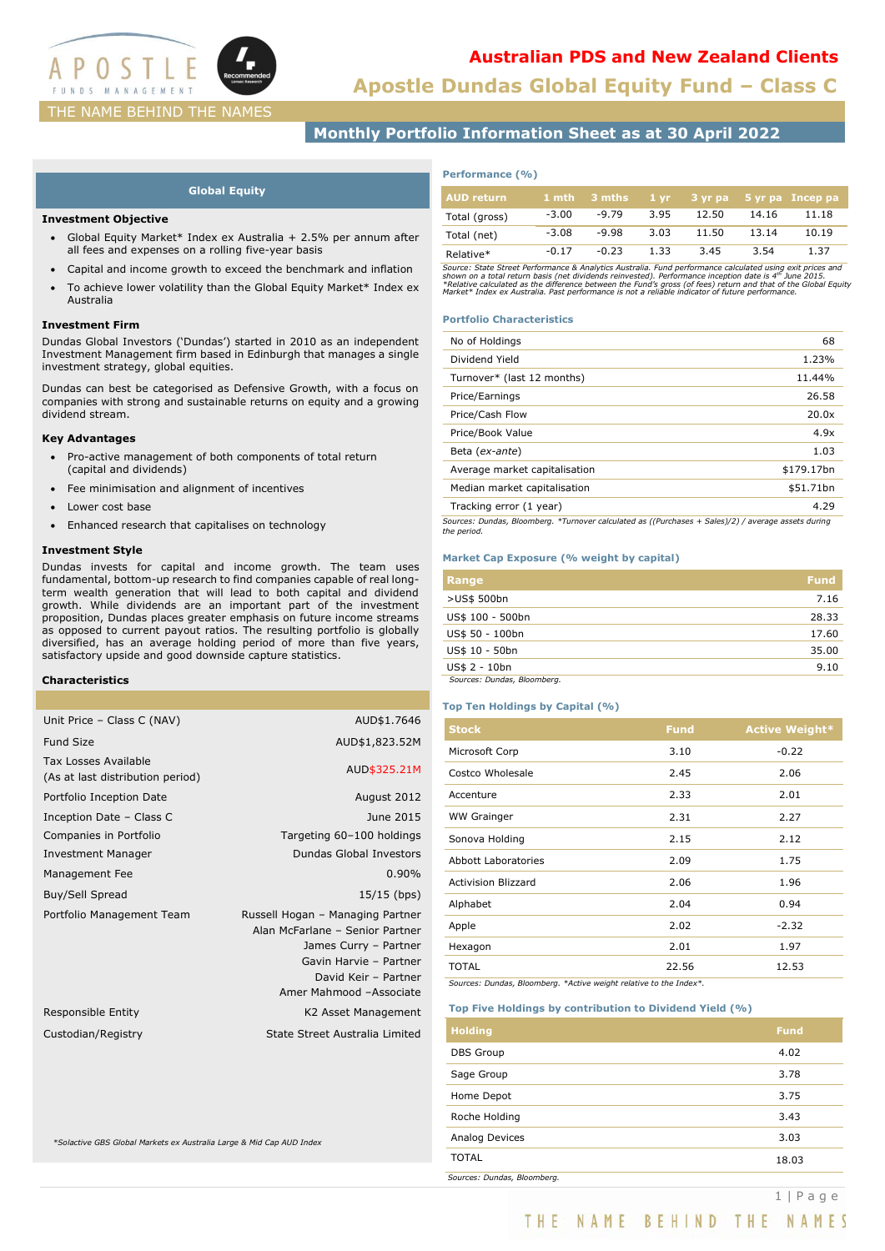

# **Apostle Dundas Global Equity Fund – Class C Australian PDS and New Zealand Clients**

# **Monthly Portfolio Information Sheet as at 30 April 2022**

## **Global Equity**

## **Investment Objective**

- Global Equity Market\* Index ex Australia + 2.5% per annum after all fees and expenses on a rolling five-year basis
- Capital and income growth to exceed the benchmark and inflation
- To achieve lower volatility than the Global Equity Market\* Index ex Australia

## **Investment Firm**

Dundas Global Investors ('Dundas') started in 2010 as an independent Investment Management firm based in Edinburgh that manages a single investment strategy, global equities.

Dundas can best be categorised as Defensive Growth, with a focus on companies with strong and sustainable returns on equity and a growing dividend stream.

## **Key Advantages**

- Pro-active management of both components of total return (capital and dividends)
- Fee minimisation and alignment of incentives
- Lower cost base
- Enhanced research that capitalises on technology

## **Investment Style**

Dundas invests for capital and income growth. The team uses fundamental, bottom-up research to find companies capable of real longterm wealth generation that will lead to both capital and dividend growth. While dividends are an important part of the investment proposition, Dundas places greater emphasis on future income streams as opposed to current payout ratios. The resulting portfolio is globally diversified, has an average holding period of more than five years, satisfactory upside and good downside capture statistics.

## **Characteristics**

| Unit Price - Class C (NAV)                               | AUD\$1.7646                                                                                                                                                               |
|----------------------------------------------------------|---------------------------------------------------------------------------------------------------------------------------------------------------------------------------|
| <b>Fund Size</b>                                         | AUD\$1,823.52M                                                                                                                                                            |
| Tax Losses Available<br>(As at last distribution period) | AUD\$325.21M                                                                                                                                                              |
| Portfolio Inception Date                                 | August 2012                                                                                                                                                               |
| Inception Date - Class C                                 | June 2015                                                                                                                                                                 |
| Companies in Portfolio                                   | Targeting 60-100 holdings                                                                                                                                                 |
| <b>Investment Manager</b>                                | <b>Dundas Global Investors</b>                                                                                                                                            |
| Management Fee                                           | 0.90%                                                                                                                                                                     |
| Buy/Sell Spread                                          | 15/15 (bps)                                                                                                                                                               |
| Portfolio Management Team                                | Russell Hogan - Managing Partner<br>Alan McFarlane - Senior Partner<br>James Curry - Partner<br>Gavin Harvie - Partner<br>David Keir - Partner<br>Amer Mahmood -Associate |
| Responsible Entity                                       | K2 Asset Management                                                                                                                                                       |
| Custodian/Registry                                       | State Street Australia Limited                                                                                                                                            |
|                                                          |                                                                                                                                                                           |
|                                                          |                                                                                                                                                                           |

*\*Solactive GBS Global Markets ex Australia Large & Mid Cap AUD Index*

## **Performance (%)**

| <b>AUD return</b> | 1 mth   | $\sqrt{3}$ mths $\sqrt{3}$ |      | 1 yr 3 yr pa 5 yr pa Incep pa |       |       |
|-------------------|---------|----------------------------|------|-------------------------------|-------|-------|
| Total (gross)     | $-3.00$ | $-9.79$                    | 3.95 | 12.50                         | 14.16 | 11.18 |
| Total (net)       | $-3.08$ | $-9.98$                    | 3.03 | 11.50                         | 13.14 | 10.19 |
| Relative*         | $-0.17$ | $-0.23$                    | 1.33 | 3.45                          | 3.54  | 1.37  |

Source: State Street Performance & Analytics Australia. Fund performance calculated using exit prices and<br>shown on a total return basis (net dividends reinvested). Performance inception date is 4<sup>16</sup> June 2015.<br>\*Relative c

## **Portfolio Characteristics**

| No of Holdings                                                                                      | 68         |
|-----------------------------------------------------------------------------------------------------|------------|
| Dividend Yield                                                                                      | 1.23%      |
| Turnover* (last 12 months)                                                                          | 11.44%     |
| Price/Earnings                                                                                      | 26.58      |
| Price/Cash Flow                                                                                     | 20.0x      |
| Price/Book Value                                                                                    | 4.9x       |
| Beta (ex-ante)                                                                                      | 1.03       |
| Average market capitalisation                                                                       | \$179.17bn |
| Median market capitalisation                                                                        | \$51.71bn  |
| Tracking error (1 year)                                                                             | 4.29       |
| Courses Dundes, Pleamberg, *Turnover soleulated as ((Durchases ), Calos)(2) / average assets during |            |

*Sources: Dundas, Bloomberg. \*Turnover calculated as ((Purchases + Sales)/2) / average assets during the period.*

## **Market Cap Exposure (% weight by capital)**

| Range                       | <b>Fund</b> |
|-----------------------------|-------------|
| >US\$ 500bn                 | 7.16        |
| US\$ 100 - 500bn            | 28.33       |
| US\$ 50 - 100bn             | 17.60       |
| US\$ 10 - 50bn              | 35.00       |
| US\$ 2 - 10bn               | 9.10        |
| Sources: Dundas, Bloomberg. |             |

## **Top Ten Holdings by Capital (%)**

| <b>Stock</b>               | <b>Fund</b> | <b>Active Weight*</b> |
|----------------------------|-------------|-----------------------|
| Microsoft Corp             | 3.10        | $-0.22$               |
| Costco Wholesale           | 2.45        | 2.06                  |
| Accenture                  | 2.33        | 2.01                  |
| <b>WW Grainger</b>         | 2.31        | 2.27                  |
| Sonova Holding             | 2.15        | 2.12                  |
| <b>Abbott Laboratories</b> | 2.09        | 1.75                  |
| <b>Activision Blizzard</b> | 2.06        | 1.96                  |
| Alphabet                   | 2.04        | 0.94                  |
| Apple                      | 2.02        | $-2.32$               |
| Hexagon                    | 2.01        | 1.97                  |
| <b>TOTAL</b>               | 22.56       | 12.53                 |

*Sources: Dundas, Bloomberg. \*Active weight relative to the Index\*.*

## **Top Five Holdings by contribution to Dividend Yield (%)**

| <b>Holding</b>              | <b>Fund</b> |
|-----------------------------|-------------|
| <b>DBS Group</b>            | 4.02        |
| Sage Group                  | 3.78        |
| Home Depot                  | 3.75        |
| Roche Holding               | 3.43        |
| Analog Devices              | 3.03        |
| <b>TOTAL</b>                | 18.03       |
| Sources: Dundas, Bloomberg. |             |

THE NAME BEHIND THE NAMES

1 | P a g e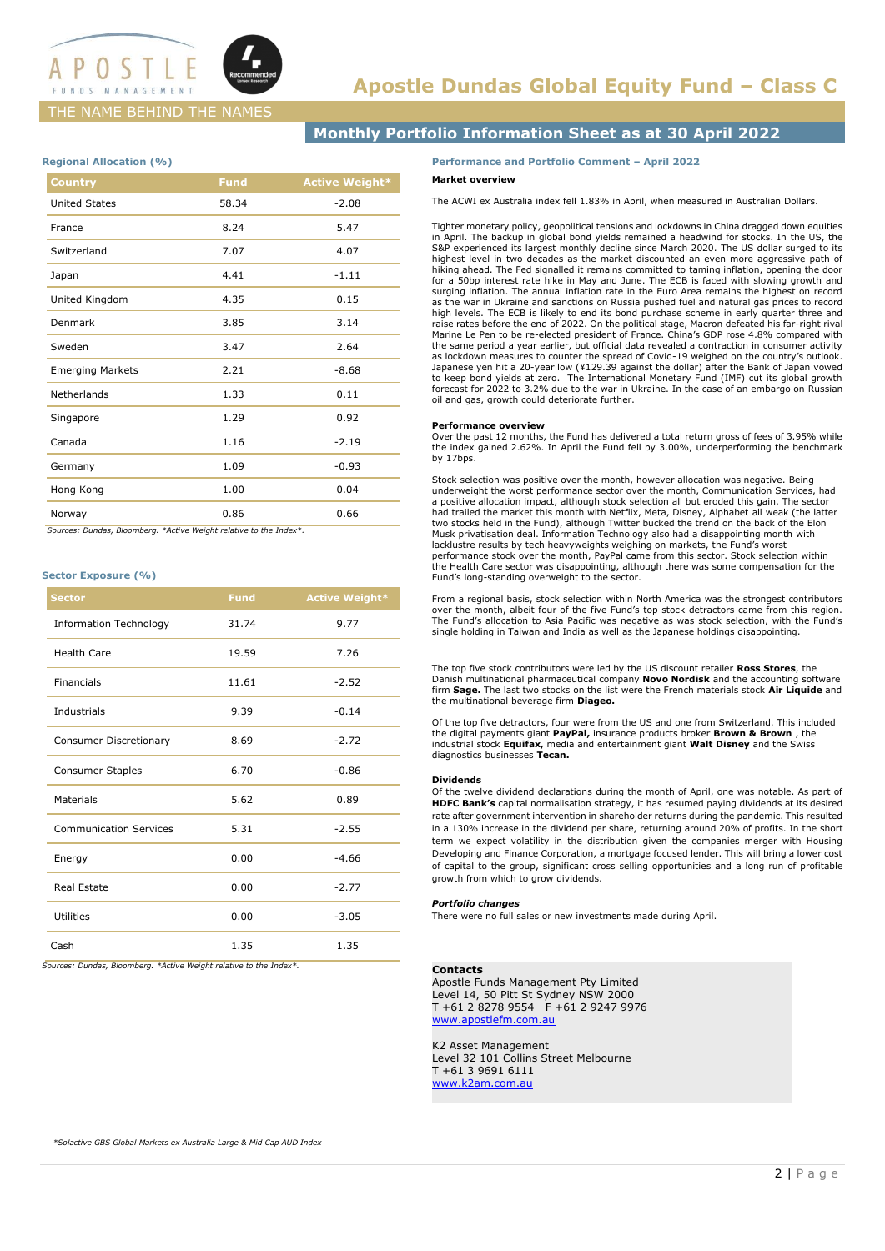

# THE NAME BEHIND THE NAMES

# **Monthly Portfolio Information Sheet as at 30 April 2022**

## **Regional Allocation (%)**

| <b>Country</b>                  | <b>Fund</b>      | <b>Active Weight*</b> |
|---------------------------------|------------------|-----------------------|
| <b>United States</b>            | 58.34            | $-2.08$               |
| France                          | 8.24             | 5.47                  |
| Switzerland                     | 7.07             | 4.07                  |
| Japan                           | 4.41             | $-1.11$               |
| United Kingdom                  | 4.35             | 0.15                  |
| Denmark                         | 3.85             | 3.14                  |
| Sweden                          | 3.47             | 2.64                  |
| <b>Emerging Markets</b>         | 2.21             | $-8.68$               |
| Netherlands                     | 1.33             | 0.11                  |
| Singapore                       | 1.29             | 0.92                  |
| Canada                          | 1.16             | $-2.19$               |
| Germany                         | 1.09             | $-0.93$               |
| Hong Kong                       | 1.00             | 0.04                  |
| Norway<br>$\sim$<br>$100 - 100$ | 0.86<br>$\cdots$ | 0.66                  |

 *Sources: Dundas, Bloomberg. \*Active Weight relative to the Index\*.*

## **Sector Exposure (%)**

| <b>Sector</b>                 | <b>Fund</b> | <b>Active Weight*</b> |
|-------------------------------|-------------|-----------------------|
| <b>Information Technology</b> | 31.74       | 9.77                  |
| <b>Health Care</b>            | 19.59       | 7.26                  |
| <b>Financials</b>             | 11.61       | $-2.52$               |
| Industrials                   | 9.39        | $-0.14$               |
| Consumer Discretionary        | 8.69        | $-2.72$               |
| <b>Consumer Staples</b>       | 6.70        | $-0.86$               |
| Materials                     | 5.62        | 0.89                  |
| <b>Communication Services</b> | 5.31        | $-2.55$               |
| Energy                        | 0.00        | $-4.66$               |
| <b>Real Estate</b>            | 0.00        | $-2.77$               |
| Utilities                     | 0.00        | $-3.05$               |
| Cash                          | 1.35        | 1.35                  |

*Sources: Dundas, Bloomberg. \*Active Weight relative to the Index\*.*

## **Performance and Portfolio Comment – April 2022**

## **Market overview**

The ACWI ex Australia index fell 1.83% in April, when measured in Australian Dollars.

Tighter monetary policy, geopolitical tensions and lockdowns in China dragged down equities in April. The backup in global bond yields remained a headwind for stocks. In the US, the S&P experienced its largest monthly decline since March 2020. The US dollar surged to its highest level in two decades as the market discounted an even more aggressive path of hiking ahead. The Fed signalled it remains committed to taming inflation, opening the door for a 50bp interest rate hike in May and June. The ECB is faced with slowing growth and surging inflation. The annual inflation rate in the Euro Area remains the highest on record as the war in Ukraine and sanctions on Russia pushed fuel and natural gas prices to record high levels. The ECB is likely to end its bond purchase scheme in early quarter three and raise rates before the end of 2022. On the political stage, Macron defeated his far-right rival Marine Le Pen to be re-elected president of France. China's GDP rose 4.8% compared with the same period a year earlier, but official data revealed a contraction in consumer activity<br>as lockdown measures to counter the spread of Covid-19 weighed on the country's outlook.<br>Japanese yen hit a 20-year low (¥129.39 to keep bond yields at zero. The International Monetary Fund (IMF) cut its global growth forecast for 2022 to 3.2% due to the war in Ukraine. In the case of an embargo on Russian oil and gas, growth could deteriorate further.

## **Performance overview**

Over the past 12 months, the Fund has delivered a total return gross of fees of 3.95% while the index gained 2.62%. In April the Fund fell by 3.00%, underperforming the benchmark by 17bps.

Stock selection was positive over the month, however allocation was negative. Being underweight the worst performance sector over the month, Communication Services, had a positive allocation impact, although stock selection all but eroded this gain. The sector had trailed the market this month with Netflix, Meta, Disney, Alphabet all weak (the latter two stocks held in the Fund), although Twitter bucked the trend on the back of the Elon Musk privatisation deal. Information Technology also had a disappointing month with lacklustre results by tech heavyweights weighing on markets, the Fund's worst performance stock over the month, PayPal came from this sector. Stock selection within the Health Care sector was disappointing, although there was some compensation for the Fund's long-standing overweight to the sector.

From a regional basis, stock selection within North America was the strongest contributors over the month, albeit four of the five Fund's top stock detractors came from this region. The Fund's allocation to Asia Pacific was negative as was stock selection, with the Fund's single holding in Taiwan and India as well as the Japanese holdings disappointing.

The top five stock contributors were led by the US discount retailer **Ross Stores**, the Danish multinational pharmaceutical company **Novo Nordisk** and the accounting software firm **Sage.** The last two stocks on the list were the French materials stock **Air Liquide** and the multinational beverage firm **Diageo.**

Of the top five detractors, four were from the US and one from Switzerland. This included the digital payments giant **PayPal,** insurance products broker **Brown & Brown** , the industrial stock **Equifax,** media and entertainment giant **Walt Disney** and the Swiss diagnostics businesses **Tecan.**

#### **Dividends**

Of the twelve dividend declarations during the month of April, one was notable. As part of **HDFC Bank's** capital normalisation strategy, it has resumed paying dividends at its desired rate after government intervention in shareholder returns during the pandemic. This resulted in a 130% increase in the dividend per share, returning around 20% of profits. In the short term we expect volatility in the distribution given the companies merger with Housing Developing and Finance Corporation, a mortgage focused lender. This will bring a lower cost of capital to the group, significant cross selling opportunities and a long run of profitable growth from which to grow dividends.

#### *Portfolio changes*

There were no full sales or new investments made during April.

#### **Contacts**

Apostle Funds Management Pty Limited Level 14, 50 Pitt St Sydney NSW 2000 T +61 2 8278 9554 F +61 2 9247 9976 [www.apostlefm.com.au](http://www.apostlefm.com.au/)

K2 Asset Management Level 32 101 Collins Street Melbourne T +61 3 9691 6111 [www.k2am.com.au](http://www.k2am.com.au/)